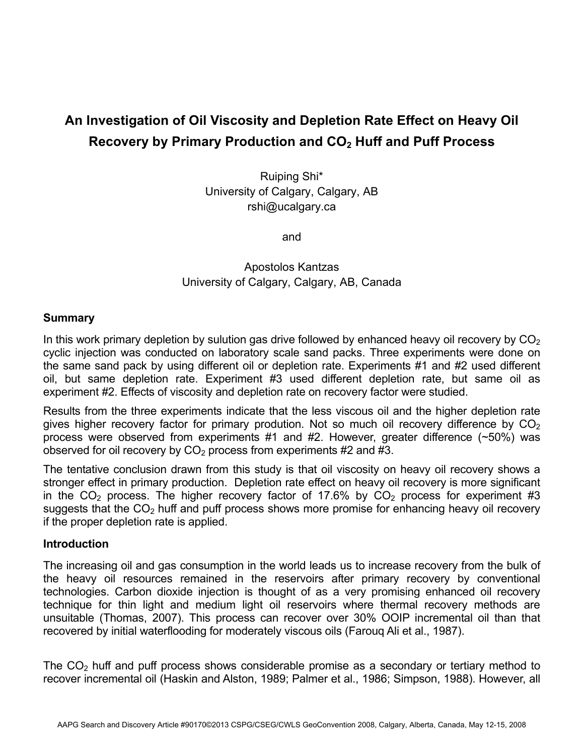# **An Investigation of Oil Viscosity and Depletion Rate Effect on Heavy Oil Recovery by Primary Production and CO<sub>2</sub> Huff and Puff Process**

Ruiping Shi\* University of Calgary, Calgary, AB rshi@ucalgary.ca

and

## Apostolos Kantzas University of Calgary, Calgary, AB, Canada

## **Summary**

In this work primary depletion by sulution gas drive followed by enhanced heavy oil recovery by  $CO<sub>2</sub>$ cyclic injection was conducted on laboratory scale sand packs. Three experiments were done on the same sand pack by using different oil or depletion rate. Experiments #1 and #2 used different oil, but same depletion rate. Experiment #3 used different depletion rate, but same oil as experiment #2. Effects of viscosity and depletion rate on recovery factor were studied.

Results from the three experiments indicate that the less viscous oil and the higher depletion rate gives higher recovery factor for primary prodution. Not so much oil recovery difference by  $CO<sub>2</sub>$ process were observed from experiments #1 and #2. However, greater difference (~50%) was observed for oil recovery by  $CO<sub>2</sub>$  process from experiments #2 and #3.

The tentative conclusion drawn from this study is that oil viscosity on heavy oil recovery shows a stronger effect in primary production. Depletion rate effect on heavy oil recovery is more significant in the  $CO<sub>2</sub>$  process. The higher recovery factor of 17.6% by  $CO<sub>2</sub>$  process for experiment #3 suggests that the  $CO<sub>2</sub>$  huff and puff process shows more promise for enhancing heavy oil recovery if the proper depletion rate is applied.

#### **Introduction**

The increasing oil and gas consumption in the world leads us to increase recovery from the bulk of the heavy oil resources remained in the reservoirs after primary recovery by conventional technologies. Carbon dioxide injection is thought of as a very promising enhanced oil recovery technique for thin light and medium light oil reservoirs where thermal recovery methods are unsuitable (Thomas, 2007). This process can recover over 30% OOIP incremental oil than that recovered by initial waterflooding for moderately viscous oils (Farouq Ali et al., 1987).

The  $CO<sub>2</sub>$  huff and puff process shows considerable promise as a secondary or tertiary method to recover incremental oil (Haskin and Alston, 1989; Palmer et al., 1986; Simpson, 1988). However, all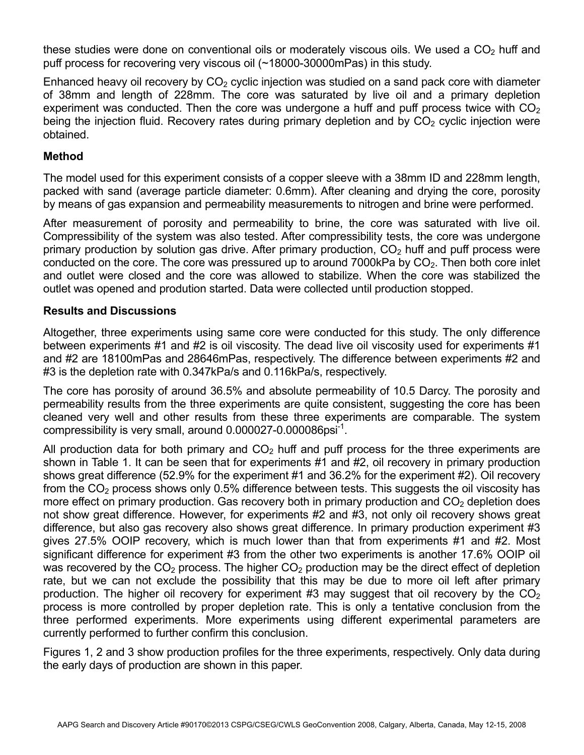these studies were done on conventional oils or moderately viscous oils. We used a  $CO<sub>2</sub>$  huff and puff process for recovering very viscous oil (~18000-30000mPas) in this study.

Enhanced heavy oil recovery by  $CO<sub>2</sub>$  cyclic injection was studied on a sand pack core with diameter of 38mm and length of 228mm. The core was saturated by live oil and a primary depletion experiment was conducted. Then the core was undergone a huff and puff process twice with  $CO<sub>2</sub>$ being the injection fluid. Recovery rates during primary depletion and by  $CO<sub>2</sub>$  cyclic injection were obtained.

## **Method**

The model used for this experiment consists of a copper sleeve with a 38mm ID and 228mm length, packed with sand (average particle diameter: 0.6mm). After cleaning and drying the core, porosity by means of gas expansion and permeability measurements to nitrogen and brine were performed.

After measurement of porosity and permeability to brine, the core was saturated with live oil. Compressibility of the system was also tested. After compressibility tests, the core was undergone primary production by solution gas drive. After primary production,  $CO<sub>2</sub>$  huff and puff process were conducted on the core. The core was pressured up to around 7000kPa by  $CO<sub>2</sub>$ . Then both core inlet and outlet were closed and the core was allowed to stabilize. When the core was stabilized the outlet was opened and prodution started. Data were collected until production stopped.

## **Results and Discussions**

Altogether, three experiments using same core were conducted for this study. The only difference between experiments #1 and #2 is oil viscosity. The dead live oil viscosity used for experiments #1 and #2 are 18100mPas and 28646mPas, respectively. The difference between experiments #2 and #3 is the depletion rate with 0.347kPa/s and 0.116kPa/s, respectively.

The core has porosity of around 36.5% and absolute permeability of 10.5 Darcy. The porosity and permeability results from the three experiments are quite consistent, suggesting the core has been cleaned very well and other results from these three experiments are comparable. The system compressibility is very small, around 0.000027-0.000086psi-1.

All production data for both primary and  $CO<sub>2</sub>$  huff and puff process for the three experiments are shown in Table 1. It can be seen that for experiments #1 and #2, oil recovery in primary production shows great difference (52.9% for the experiment #1 and 36.2% for the experiment #2). Oil recovery from the  $CO<sub>2</sub>$  process shows only 0.5% difference between tests. This suggests the oil viscosity has more effect on primary production. Gas recovery both in primary production and  $CO<sub>2</sub>$  depletion does not show great difference. However, for experiments #2 and #3, not only oil recovery shows great difference, but also gas recovery also shows great difference. In primary production experiment #3 gives 27.5% OOIP recovery, which is much lower than that from experiments #1 and #2. Most significant difference for experiment #3 from the other two experiments is another 17.6% OOIP oil was recovered by the  $CO<sub>2</sub>$  process. The higher  $CO<sub>2</sub>$  production may be the direct effect of depletion rate, but we can not exclude the possibility that this may be due to more oil left after primary production. The higher oil recovery for experiment #3 may suggest that oil recovery by the  $CO<sub>2</sub>$ process is more controlled by proper depletion rate. This is only a tentative conclusion from the three performed experiments. More experiments using different experimental parameters are currently performed to further confirm this conclusion.

Figures 1, 2 and 3 show production profiles for the three experiments, respectively. Only data during the early days of production are shown in this paper.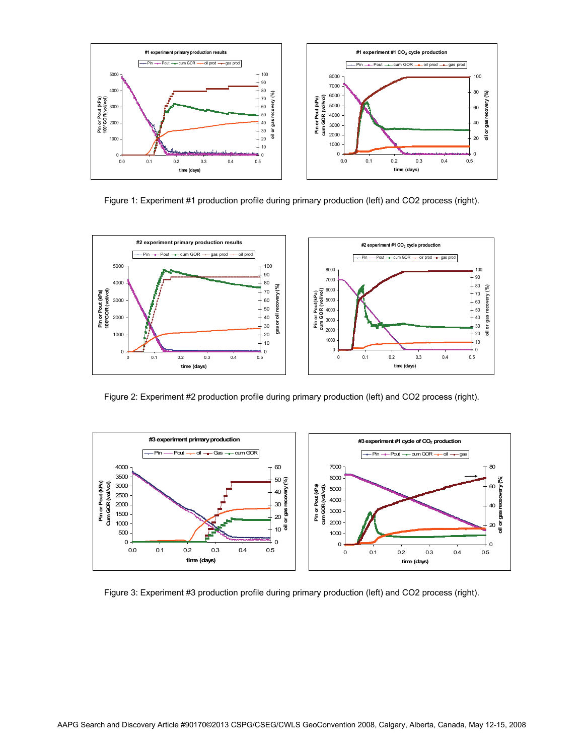

Figure 1: Experiment #1 production profile during primary production (left) and CO2 process (right).



Figure 2: Experiment #2 production profile during primary production (left) and CO2 process (right).



Figure 3: Experiment #3 production profile during primary production (left) and CO2 process (right).